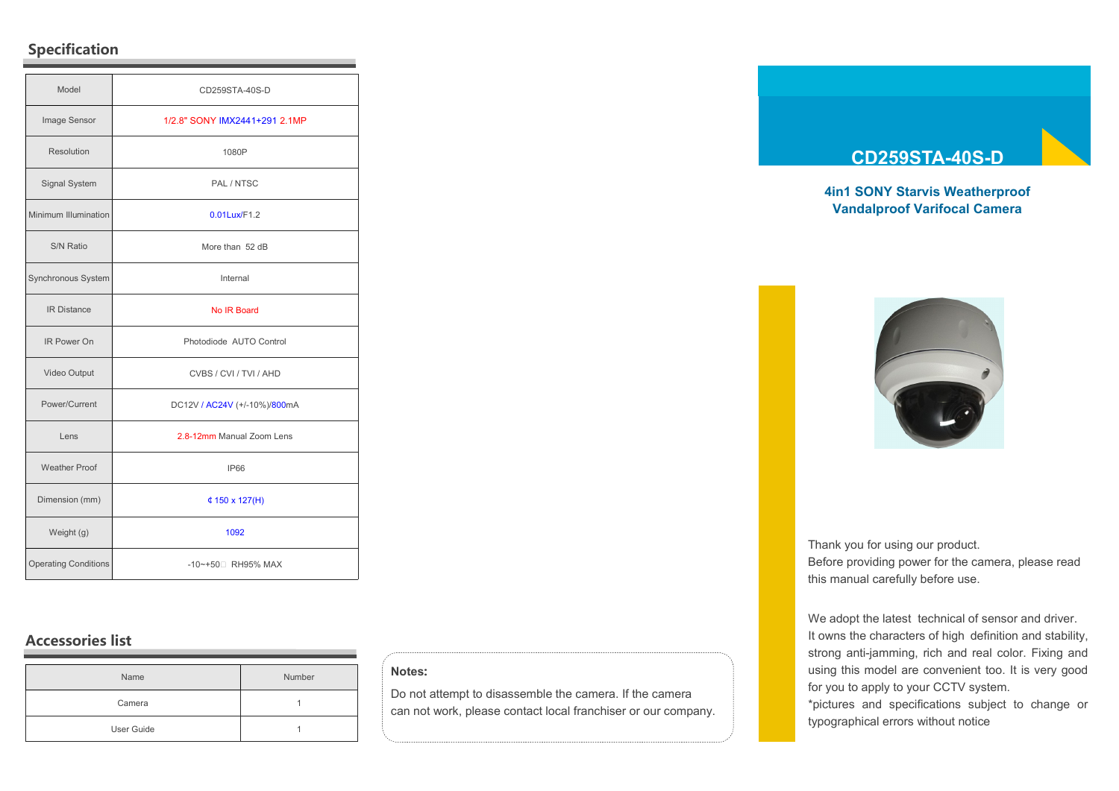# **Specification**

| Model                       | CD259STA-40S-D                |
|-----------------------------|-------------------------------|
| Image Sensor                | 1/2.8" SONY IMX2441+291 2.1MP |
| Resolution                  | 1080P                         |
| Signal System               | PAL / NTSC                    |
| Minimum Illumination        | 0.01Lux/F1.2                  |
| S/N Ratio                   | More than 52 dB               |
| Synchronous System          | Internal                      |
| <b>IR Distance</b>          | No IR Board                   |
| IR Power On                 | Photodiode AUTO Control       |
| Video Output                | CVBS / CVI / TVI / AHD        |
| Power/Current               | DC12V / AC24V (+/-10%)/800mA  |
| Lens                        | 2.8-12mm Manual Zoom Lens     |
| <b>Weather Proof</b>        | <b>IP66</b>                   |
| Dimension (mm)              | $4150 \times 127(H)$          |
| Weight (g)                  | 1092                          |
| <b>Operating Conditions</b> | -10~+50 RH95% MAX             |

# **Accessories list**

| Name       | Number |
|------------|--------|
| Camera     |        |
| User Guide |        |

### **Notes:**

Do not attempt to disassemble the camera. If the camera can not work, please contact local franchiser or our company.

# **CD259STA-40S-D**

## **4in1 SONY Starvis Weatherproof Vandalproof Varifocal Camera**



Thank you for using our product. Before providing power for the camera, please read this manual carefully before use.

We adopt the latest technical of sensor and driver. It owns the characters of high definition and stability, strong anti-jamming, rich and real color. Fixing and using this model are convenient too. It is very good for you to apply to your CCTV system.

\*pictures and specifications subject to change or typographical errors without notice